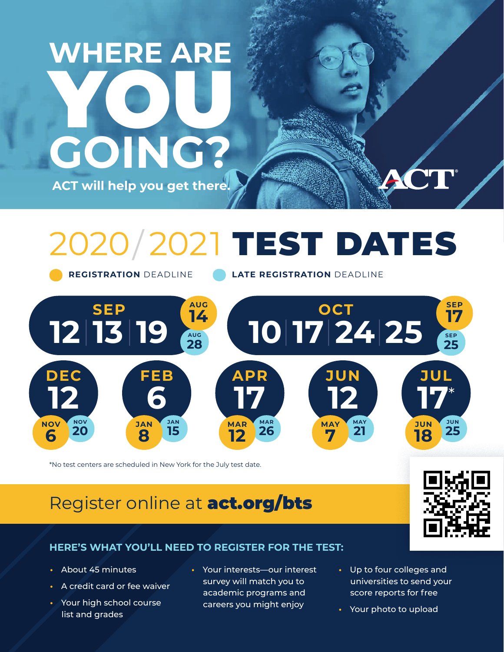## **WHERE ARE**  YOU **GOING? ACT will help you get there.**

# 2020/ 2021 TEST DATES

**REGISTRATION** DEADLINE **LATE REGISTRATION** DEADLINE



\*No test centers are scheduled in New York for the July test date.

### Register online at **[act.org/bts](http://act.org/bts)**



#### **HERE'S WHAT YOU'LL NEED TO REGISTER FOR THE TEST:**

- About 45 minutes
- A credit card or fee waiver
- Your high school course list and grades
- Your interests—our interest survey will match you to academic programs and careers you might enjoy
- Up to four colleges and universities to send your score reports for free
- Your photo to upload